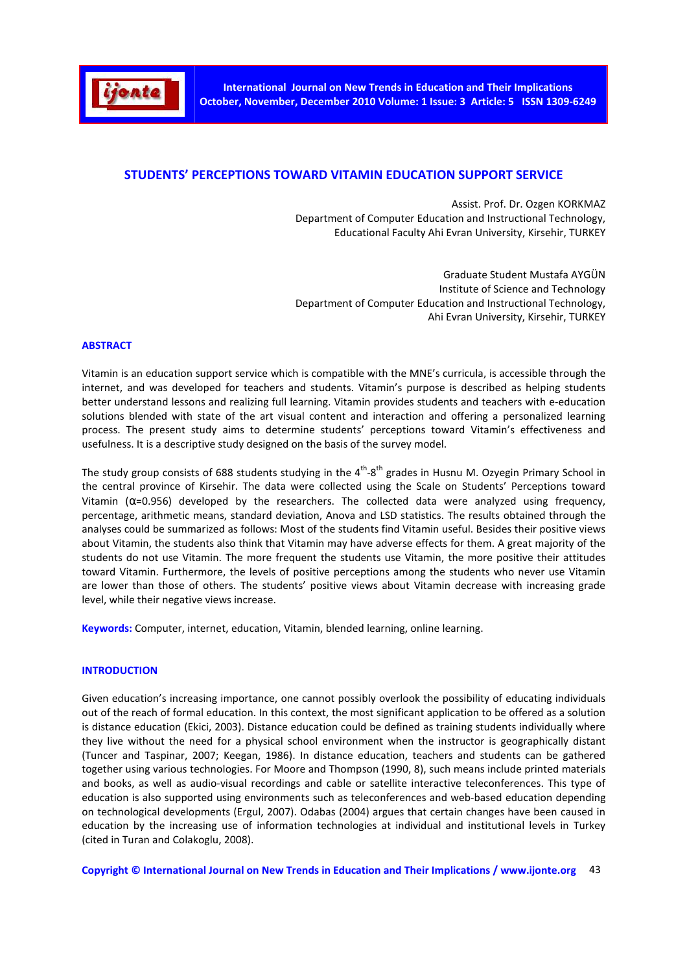

## **STUDENTS' PERCEPTIONS TOWARD VITAMIN EDUCATION SUPPORT SERVICE**

Assist. Prof. Dr. Ozgen KORKMAZ Department of Computer Education and Instructional Technology, Educational Faculty Ahi Evran University, Kirsehir, TURKEY

Graduate Student Mustafa AYGÜN Institute of Science and Technology Department of Computer Education and Instructional Technology, Ahi Evran University, Kirsehir, TURKEY

#### **ABSTRACT**

Vitamin is an education support service which is compatible with the MNE's curricula, is accessible through the internet, and was developed for teachers and students. Vitamin's purpose is described as helping students better understand lessons and realizing full learning. Vitamin provides students and teachers with e-education solutions blended with state of the art visual content and interaction and offering a personalized learning process. The present study aims to determine students' perceptions toward Vitamin's effectiveness and usefulness. It is a descriptive study designed on the basis of the survey model.

The study group consists of 688 students studying in the 4<sup>th</sup>-8<sup>th</sup> grades in Husnu M. Ozyegin Primary School in the central province of Kirsehir. The data were collected using the Scale on Students' Perceptions toward Vitamin ( $\alpha$ =0.956) developed by the researchers. The collected data were analyzed using frequency, percentage, arithmetic means, standard deviation, Anova and LSD statistics. The results obtained through the analyses could be summarized as follows: Most of the students find Vitamin useful. Besides their positive views about Vitamin, the students also think that Vitamin may have adverse effects for them. A great majority of the students do not use Vitamin. The more frequent the students use Vitamin, the more positive their attitudes toward Vitamin. Furthermore, the levels of positive perceptions among the students who never use Vitamin are lower than those of others. The students' positive views about Vitamin decrease with increasing grade level, while their negative views increase.

**Keywords:** Computer, internet, education, Vitamin, blended learning, online learning.

#### **INTRODUCTION**

Given education's increasing importance, one cannot possibly overlook the possibility of educating individuals out of the reach of formal education. In this context, the most significant application to be offered as a solution is distance education (Ekici, 2003). Distance education could be defined as training students individually where they live without the need for a physical school environment when the instructor is geographically distant (Tuncer and Taspinar, 2007; Keegan, 1986). In distance education, teachers and students can be gathered together using various technologies. For Moore and Thompson (1990, 8), such means include printed materials and books, as well as audio-visual recordings and cable or satellite interactive teleconferences. This type of education is also supported using environments such as teleconferences and web-based education depending on technological developments (Ergul, 2007). Odabas (2004) argues that certain changes have been caused in education by the increasing use of information technologies at individual and institutional levels in Turkey (cited in Turan and Colakoglu, 2008).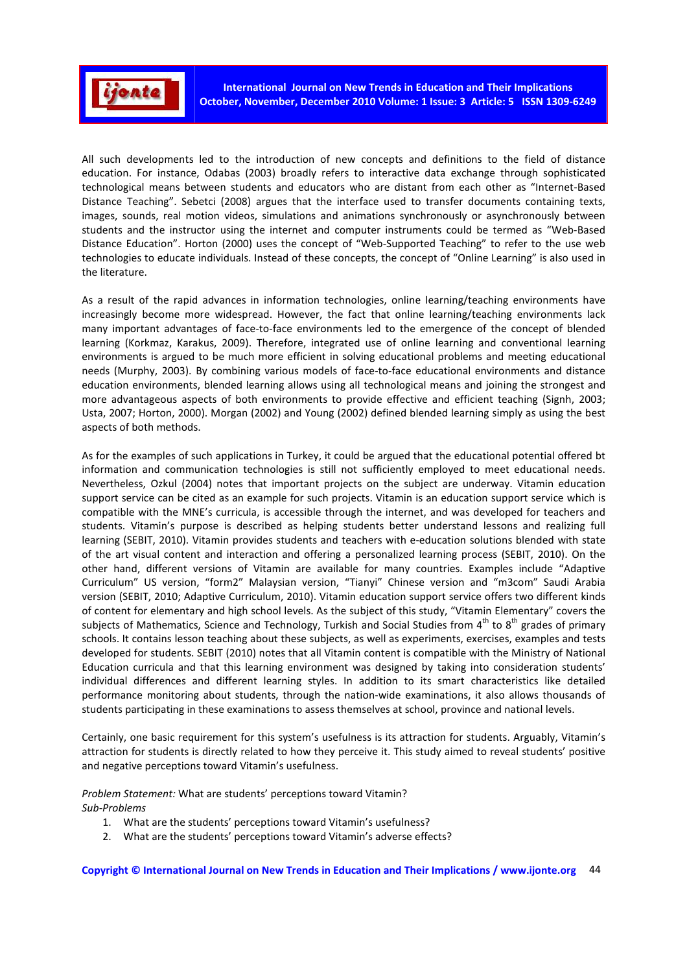

All such developments led to the introduction of new concepts and definitions to the field of distance education. For instance, Odabas (2003) broadly refers to interactive data exchange through sophisticated technological means between students and educators who are distant from each other as "Internet-Based Distance Teaching". Sebetci (2008) argues that the interface used to transfer documents containing texts, images, sounds, real motion videos, simulations and animations synchronously or asynchronously between students and the instructor using the internet and computer instruments could be termed as "Web-Based Distance Education". Horton (2000) uses the concept of "Web-Supported Teaching" to refer to the use web technologies to educate individuals. Instead of these concepts, the concept of "Online Learning" is also used in the literature.

As a result of the rapid advances in information technologies, online learning/teaching environments have increasingly become more widespread. However, the fact that online learning/teaching environments lack many important advantages of face-to-face environments led to the emergence of the concept of blended learning (Korkmaz, Karakus, 2009). Therefore, integrated use of online learning and conventional learning environments is argued to be much more efficient in solving educational problems and meeting educational needs (Murphy, 2003). By combining various models of face-to-face educational environments and distance education environments, blended learning allows using all technological means and joining the strongest and more advantageous aspects of both environments to provide effective and efficient teaching (Signh, 2003; Usta, 2007; Horton, 2000). Morgan (2002) and Young (2002) defined blended learning simply as using the best aspects of both methods.

As for the examples of such applications in Turkey, it could be argued that the educational potential offered bt information and communication technologies is still not sufficiently employed to meet educational needs. Nevertheless, Ozkul (2004) notes that important projects on the subject are underway. Vitamin education support service can be cited as an example for such projects. Vitamin is an education support service which is compatible with the MNE's curricula, is accessible through the internet, and was developed for teachers and students. Vitamin's purpose is described as helping students better understand lessons and realizing full learning (SEBIT, 2010). Vitamin provides students and teachers with e-education solutions blended with state of the art visual content and interaction and offering a personalized learning process (SEBIT, 2010). On the other hand, different versions of Vitamin are available for many countries. Examples include "Adaptive Curriculum" US version, "form2" Malaysian version, "Tianyi" Chinese version and "m3com" Saudi Arabia version (SEBIT, 2010; Adaptive Curriculum, 2010). Vitamin education support service offers two different kinds of content for elementary and high school levels. As the subject of this study, "Vitamin Elementary" covers the subjects of Mathematics, Science and Technology, Turkish and Social Studies from 4<sup>th</sup> to 8<sup>th</sup> grades of primary schools. It contains lesson teaching about these subjects, as well as experiments, exercises, examples and tests developed for students. SEBIT (2010) notes that all Vitamin content is compatible with the Ministry of National Education curricula and that this learning environment was designed by taking into consideration students' individual differences and different learning styles. In addition to its smart characteristics like detailed performance monitoring about students, through the nation-wide examinations, it also allows thousands of students participating in these examinations to assess themselves at school, province and national levels.

Certainly, one basic requirement for this system's usefulness is its attraction for students. Arguably, Vitamin's attraction for students is directly related to how they perceive it. This study aimed to reveal students' positive and negative perceptions toward Vitamin's usefulness.

*Problem Statement:* What are students' perceptions toward Vitamin? *Sub-Problems* 

- 1. What are the students' perceptions toward Vitamin's usefulness?
- 2. What are the students' perceptions toward Vitamin's adverse effects?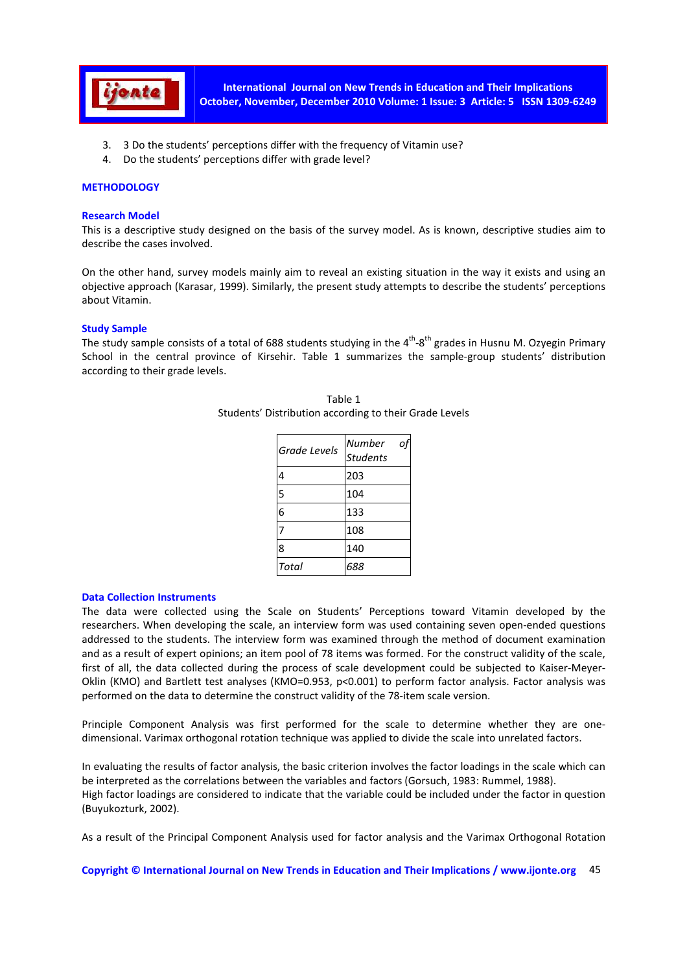

- 3. 3 Do the students' perceptions differ with the frequency of Vitamin use?
- 4. Do the students' perceptions differ with grade level?

## **METHODOLOGY**

## **Research Model**

This is a descriptive study designed on the basis of the survey model. As is known, descriptive studies aim to describe the cases involved.

On the other hand, survey models mainly aim to reveal an existing situation in the way it exists and using an objective approach (Karasar, 1999). Similarly, the present study attempts to describe the students' perceptions about Vitamin.

## **Study Sample**

The study sample consists of a total of 688 students studying in the  $4^{th} - 8^{th}$  grades in Husnu M. Ozyegin Primary School in the central province of Kirsehir. Table 1 summarizes the sample-group students' distribution according to their grade levels.

| Grade Levels | Number<br>O<br><b>Students</b> |
|--------------|--------------------------------|
| 4            | 203                            |
| 5            | 104                            |
| 6            | 133                            |
|              | 108                            |
| 8            | 140                            |
| Total        | 688                            |

Table 1 Students' Distribution according to their Grade Levels

## **Data Collection Instruments**

The data were collected using the Scale on Students' Perceptions toward Vitamin developed by the researchers. When developing the scale, an interview form was used containing seven open-ended questions addressed to the students. The interview form was examined through the method of document examination and as a result of expert opinions; an item pool of 78 items was formed. For the construct validity of the scale, first of all, the data collected during the process of scale development could be subjected to Kaiser-Meyer-Oklin (KMO) and Bartlett test analyses (KMO=0.953, p<0.001) to perform factor analysis. Factor analysis was performed on the data to determine the construct validity of the 78-item scale version.

Principle Component Analysis was first performed for the scale to determine whether they are onedimensional. Varimax orthogonal rotation technique was applied to divide the scale into unrelated factors.

In evaluating the results of factor analysis, the basic criterion involves the factor loadings in the scale which can be interpreted as the correlations between the variables and factors (Gorsuch, 1983: Rummel, 1988). High factor loadings are considered to indicate that the variable could be included under the factor in question (Buyukozturk, 2002).

As a result of the Principal Component Analysis used for factor analysis and the Varimax Orthogonal Rotation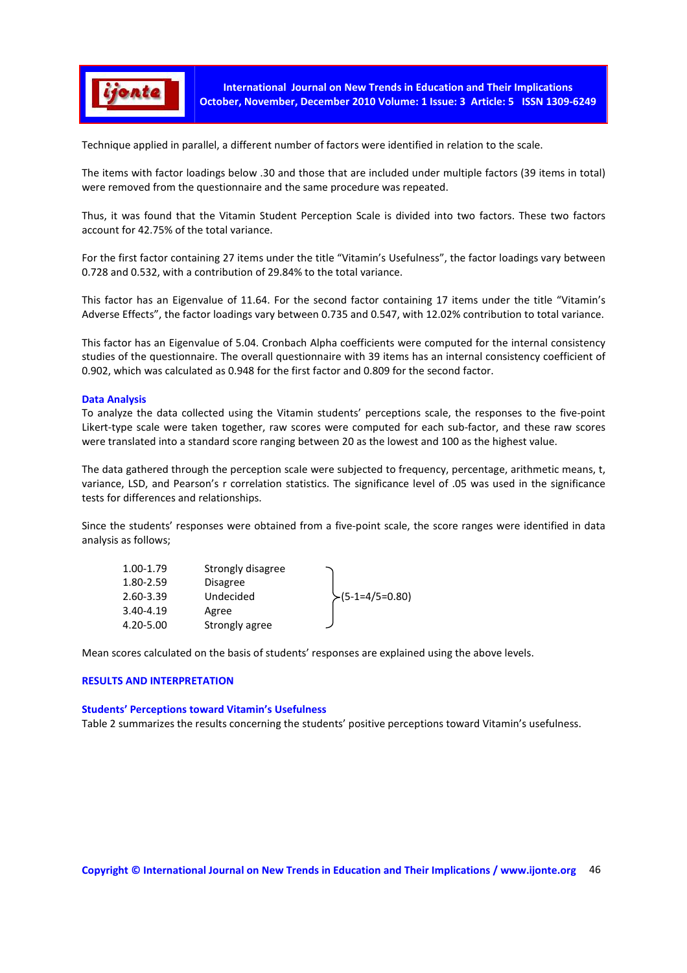

Technique applied in parallel, a different number of factors were identified in relation to the scale.

The items with factor loadings below .30 and those that are included under multiple factors (39 items in total) were removed from the questionnaire and the same procedure was repeated.

Thus, it was found that the Vitamin Student Perception Scale is divided into two factors. These two factors account for 42.75% of the total variance.

For the first factor containing 27 items under the title "Vitamin's Usefulness", the factor loadings vary between 0.728 and 0.532, with a contribution of 29.84% to the total variance.

This factor has an Eigenvalue of 11.64. For the second factor containing 17 items under the title "Vitamin's Adverse Effects", the factor loadings vary between 0.735 and 0.547, with 12.02% contribution to total variance.

This factor has an Eigenvalue of 5.04. Cronbach Alpha coefficients were computed for the internal consistency studies of the questionnaire. The overall questionnaire with 39 items has an internal consistency coefficient of 0.902, which was calculated as 0.948 for the first factor and 0.809 for the second factor.

## **Data Analysis**

To analyze the data collected using the Vitamin students' perceptions scale, the responses to the five-point Likert-type scale were taken together, raw scores were computed for each sub-factor, and these raw scores were translated into a standard score ranging between 20 as the lowest and 100 as the highest value.

The data gathered through the perception scale were subjected to frequency, percentage, arithmetic means, t, variance, LSD, and Pearson's r correlation statistics. The significance level of .05 was used in the significance tests for differences and relationships.

Since the students' responses were obtained from a five-point scale, the score ranges were identified in data analysis as follows;

| 1.00-1.79 | Strongly disagree |                  |
|-----------|-------------------|------------------|
| 1.80-2.59 | <b>Disagree</b>   |                  |
| 2.60-3.39 | Undecided         | $(5-1=4/5=0.80)$ |
| 3.40-4.19 | Agree             |                  |
| 4.20-5.00 | Strongly agree    |                  |

Mean scores calculated on the basis of students' responses are explained using the above levels.

#### **RESULTS AND INTERPRETATION**

## **Students' Perceptions toward Vitamin's Usefulness**

Table 2 summarizes the results concerning the students' positive perceptions toward Vitamin's usefulness.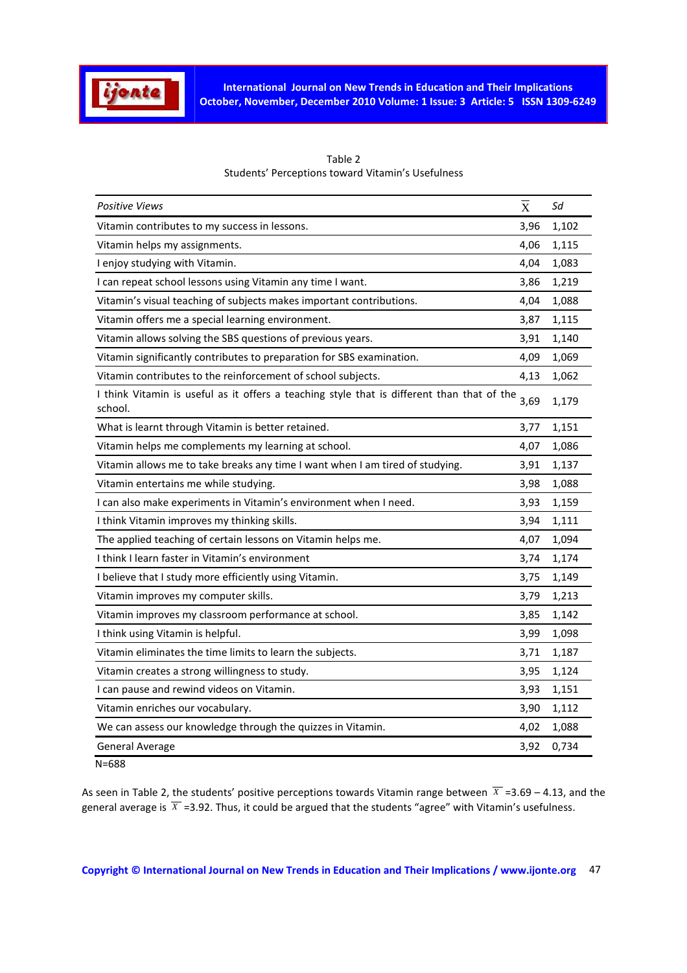

| <b>Positive Views</b>                                                                                           | $\overline{\mathrm{x}}$ | Sd    |
|-----------------------------------------------------------------------------------------------------------------|-------------------------|-------|
| Vitamin contributes to my success in lessons.                                                                   | 3,96                    | 1,102 |
| Vitamin helps my assignments.                                                                                   | 4,06                    | 1,115 |
| I enjoy studying with Vitamin.                                                                                  | 4,04                    | 1,083 |
| I can repeat school lessons using Vitamin any time I want.                                                      | 3,86                    | 1,219 |
| Vitamin's visual teaching of subjects makes important contributions.                                            | 4,04                    | 1,088 |
| Vitamin offers me a special learning environment.                                                               | 3,87                    | 1,115 |
| Vitamin allows solving the SBS questions of previous years.                                                     | 3,91                    | 1,140 |
| Vitamin significantly contributes to preparation for SBS examination.                                           | 4,09                    | 1,069 |
| Vitamin contributes to the reinforcement of school subjects.                                                    | 4,13                    | 1,062 |
| I think Vitamin is useful as it offers a teaching style that is different than that of the $_{3,69}$<br>school. |                         | 1,179 |
| What is learnt through Vitamin is better retained.                                                              | 3,77                    | 1,151 |
| Vitamin helps me complements my learning at school.                                                             | 4,07                    | 1,086 |
| Vitamin allows me to take breaks any time I want when I am tired of studying.                                   | 3,91                    | 1,137 |
| Vitamin entertains me while studying.                                                                           | 3,98                    | 1,088 |
| I can also make experiments in Vitamin's environment when I need.                                               | 3,93                    | 1,159 |
| I think Vitamin improves my thinking skills.                                                                    | 3,94                    | 1,111 |
| The applied teaching of certain lessons on Vitamin helps me.                                                    | 4,07                    | 1,094 |
| I think I learn faster in Vitamin's environment                                                                 | 3,74                    | 1,174 |
| I believe that I study more efficiently using Vitamin.                                                          | 3,75                    | 1,149 |
| Vitamin improves my computer skills.                                                                            | 3,79                    | 1,213 |
| Vitamin improves my classroom performance at school.                                                            | 3,85                    | 1,142 |
| I think using Vitamin is helpful.                                                                               | 3,99                    | 1,098 |
| Vitamin eliminates the time limits to learn the subjects.                                                       | 3,71                    | 1,187 |
| Vitamin creates a strong willingness to study.                                                                  | 3,95                    | 1,124 |
| I can pause and rewind videos on Vitamin.                                                                       | 3,93                    | 1,151 |
| Vitamin enriches our vocabulary.                                                                                | 3,90                    | 1,112 |
| We can assess our knowledge through the quizzes in Vitamin.                                                     | 4,02                    | 1,088 |
| General Average                                                                                                 | 3,92                    | 0,734 |

| Table 2                                           |
|---------------------------------------------------|
| Students' Perceptions toward Vitamin's Usefulness |

N=688

As seen in Table 2, the students' positive perceptions towards Vitamin range between  $\overline{X}$  =3.69 – 4.13, and the general average is  $\overline{X}$  =3.92. Thus, it could be argued that the students "agree" with Vitamin's usefulness.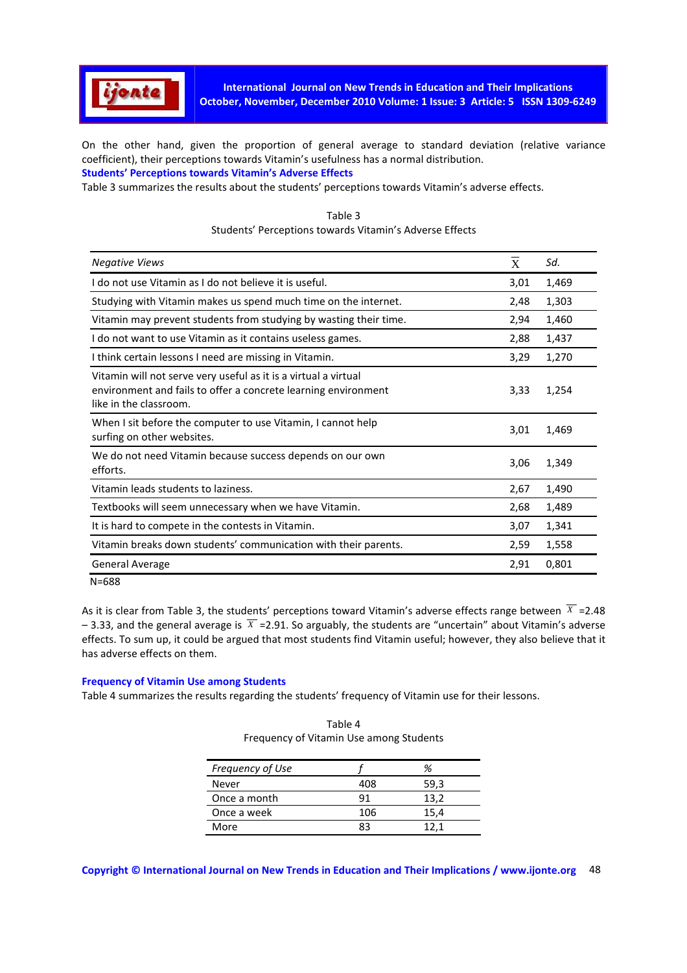

On the other hand, given the proportion of general average to standard deviation (relative variance coefficient), their perceptions towards Vitamin's usefulness has a normal distribution. **Students' Perceptions towards Vitamin's Adverse Effects**

Table 3 summarizes the results about the students' perceptions towards Vitamin's adverse effects.

| <b>Negative Views</b>                                                                                                                                       | X    | Sd.   |
|-------------------------------------------------------------------------------------------------------------------------------------------------------------|------|-------|
| I do not use Vitamin as I do not believe it is useful.                                                                                                      | 3,01 | 1,469 |
| Studying with Vitamin makes us spend much time on the internet.                                                                                             | 2,48 | 1,303 |
| Vitamin may prevent students from studying by wasting their time.                                                                                           | 2,94 | 1,460 |
| I do not want to use Vitamin as it contains useless games.                                                                                                  | 2,88 | 1,437 |
| I think certain lessons I need are missing in Vitamin.                                                                                                      | 3,29 | 1,270 |
| Vitamin will not serve very useful as it is a virtual a virtual<br>environment and fails to offer a concrete learning environment<br>like in the classroom. | 3,33 | 1,254 |
| When I sit before the computer to use Vitamin, I cannot help<br>surfing on other websites.                                                                  | 3,01 | 1,469 |
| We do not need Vitamin because success depends on our own<br>efforts.                                                                                       | 3,06 | 1,349 |
| Vitamin leads students to laziness.                                                                                                                         | 2,67 | 1,490 |
| Textbooks will seem unnecessary when we have Vitamin.                                                                                                       | 2,68 | 1,489 |
| It is hard to compete in the contests in Vitamin.                                                                                                           | 3,07 | 1,341 |
| Vitamin breaks down students' communication with their parents.                                                                                             | 2,59 | 1,558 |
| <b>General Average</b>                                                                                                                                      | 2,91 | 0,801 |
| $N = 688$                                                                                                                                                   |      |       |

# Table 3 Students' Perceptions towards Vitamin's Adverse Effects

As it is clear from Table 3, the students' perceptions toward Vitamin's adverse effects range between  $\overline{X}$  =2.48  $-3.33$ , and the general average is  $\overline{X}$  =2.91. So arguably, the students are "uncertain" about Vitamin's adverse effects. To sum up, it could be argued that most students find Vitamin useful; however, they also believe that it has adverse effects on them.

## **Frequency of Vitamin Use among Students**

Table 4 summarizes the results regarding the students' frequency of Vitamin use for their lessons.

| Frequency of Use |     | ℅    |
|------------------|-----|------|
| Never            | 408 | 59,3 |
| Once a month     | 91  | 13,2 |
| Once a week      | 106 | 15,4 |
| More             | 83  | 12,1 |

| Table 4                                 |
|-----------------------------------------|
| Frequency of Vitamin Use among Students |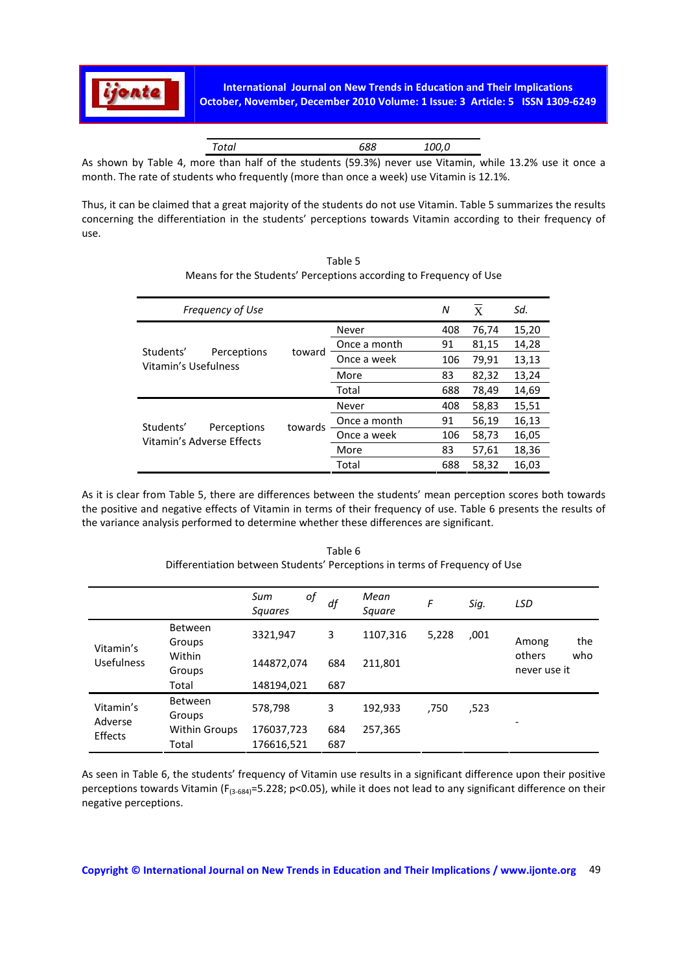

As shown by Table 4, more than half of the students (59.3%) never use Vitamin, while 13.2% use it once a month. The rate of students who frequently (more than once a week) use Vitamin is 12.1%.

Thus, it can be claimed that a great majority of the students do not use Vitamin. Table 5 summarizes the results concerning the differentiation in the students' perceptions towards Vitamin according to their frequency of use.

| <b>Frequency of Use</b>                          |         |              |     | X     | Sd.   |
|--------------------------------------------------|---------|--------------|-----|-------|-------|
|                                                  |         | Never        | 408 | 76,74 | 15,20 |
|                                                  |         | Once a month | 91  | 81,15 | 14,28 |
| Students'<br>Perceptions<br>Vitamin's Usefulness | toward  | Once a week  | 106 | 79,91 | 13,13 |
|                                                  |         | More         | 83  | 82,32 | 13,24 |
|                                                  |         | Total        | 688 | 78,49 | 14,69 |
|                                                  |         | Never        | 408 | 58,83 | 15,51 |
| Students'<br>Perceptions                         | towards | Once a month | 91  | 56,19 | 16,13 |
| Vitamin's Adverse Effects                        |         | Once a week  | 106 | 58,73 | 16,05 |
|                                                  |         | More         | 83  | 57,61 | 18,36 |
|                                                  |         | Total        | 688 | 58,32 | 16,03 |

Table 5 Means for the Students' Perceptions according to Frequency of Use

As it is clear from Table 5, there are differences between the students' mean perception scores both towards the positive and negative effects of Vitamin in terms of their frequency of use. Table 6 presents the results of the variance analysis performed to determine whether these differences are significant.

|                    |                          | of<br>Sum<br><b>Squares</b> | df         | Mean<br>Square | F     | Sig. | LSD                           |
|--------------------|--------------------------|-----------------------------|------------|----------------|-------|------|-------------------------------|
| Vitamin's          | <b>Between</b><br>Groups | 3321,947                    | 3          | 1107,316       | 5,228 | ,001 | the<br>Among                  |
| <b>Usefulness</b>  | Within<br>Groups         | 144872,074                  | 684        | 211,801        |       |      | others<br>who<br>never use it |
|                    | Total                    | 148194,021                  | 687        |                |       |      |                               |
| Vitamin's          | <b>Between</b><br>Groups | 578,798                     | 3          | 192,933        | ,750  | .523 |                               |
| Adverse<br>Effects | Within Groups<br>Total   | 176037,723<br>176616,521    | 684<br>687 | 257,365        |       |      | ٠                             |

Table 6 Differentiation between Students' Perceptions in terms of Frequency of Use

As seen in Table 6, the students' frequency of Vitamin use results in a significant difference upon their positive perceptions towards Vitamin ( $F_{(3-684)}=5.228$ ; p<0.05), while it does not lead to any significant difference on their negative perceptions.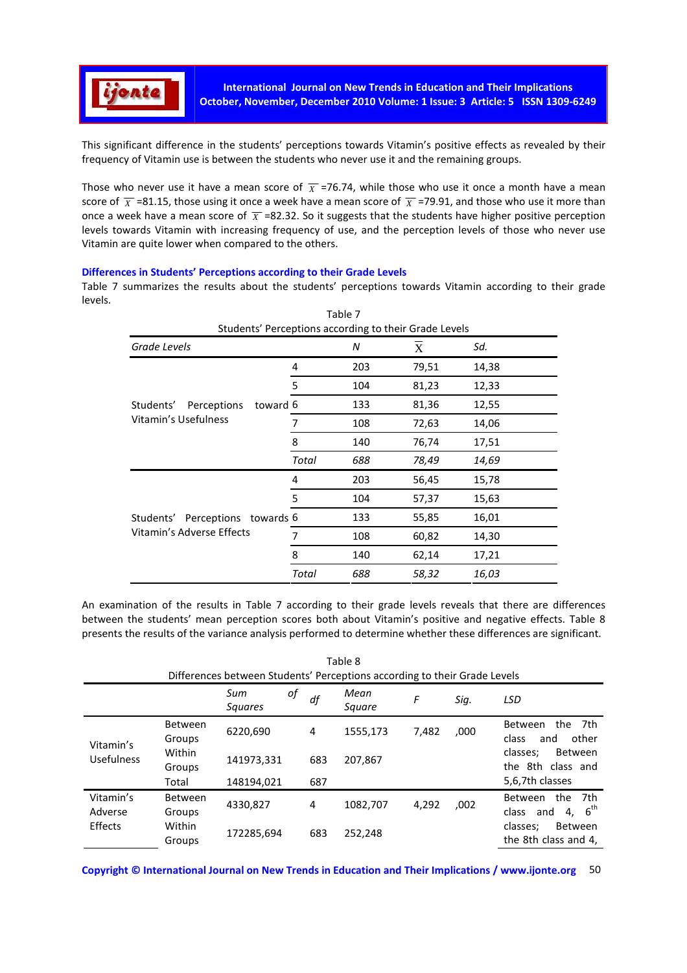

This significant difference in the students' perceptions towards Vitamin's positive effects as revealed by their frequency of Vitamin use is between the students who never use it and the remaining groups.

Those who never use it have a mean score of  $\overline{X}$  =76.74, while those who use it once a month have a mean score of  $\overline{X}$  =81.15, those using it once a week have a mean score of  $\overline{X}$  =79.91, and those who use it more than once a week have a mean score of  $\overline{X}$  =82.32. So it suggests that the students have higher positive perception levels towards Vitamin with increasing frequency of use, and the perception levels of those who never use Vitamin are quite lower when compared to the others.

#### **Differences in Students' Perceptions according to their Grade Levels**

Table 7 summarizes the results about the students' perceptions towards Vitamin according to their grade levels.  $\pm$  1.1  $\pm$ 

| Table 7<br>Students' Perceptions according to their Grade Levels |       |     |       |       |  |  |
|------------------------------------------------------------------|-------|-----|-------|-------|--|--|
|                                                                  |       |     |       |       |  |  |
| Grade Levels                                                     |       | N   | X     | Sd.   |  |  |
|                                                                  | 4     | 203 | 79,51 | 14,38 |  |  |
|                                                                  | 5     | 104 | 81,23 | 12,33 |  |  |
| toward 6<br>Perceptions<br>Students'                             |       | 133 | 81,36 | 12,55 |  |  |
| Vitamin's Usefulness                                             | 7     | 108 | 72,63 | 14,06 |  |  |
|                                                                  | 8     | 140 | 76,74 | 17,51 |  |  |
|                                                                  | Total | 688 | 78,49 | 14,69 |  |  |
|                                                                  | 4     | 203 | 56,45 | 15,78 |  |  |
|                                                                  | 5     | 104 | 57,37 | 15,63 |  |  |
| Perceptions<br>Students'<br>towards 6                            |       | 133 | 55,85 | 16,01 |  |  |
| Vitamin's Adverse Effects                                        | 7     | 108 | 60,82 | 14,30 |  |  |
|                                                                  | 8     | 140 | 62,14 | 17,21 |  |  |
|                                                                  | Total | 688 | 58,32 | 16,03 |  |  |

An examination of the results in Table 7 according to their grade levels reveals that there are differences between the students' mean perception scores both about Vitamin's positive and negative effects. Table 8 presents the results of the variance analysis performed to determine whether these differences are significant.

| Table 8<br>Differences between Students' Perceptions according to their Grade Levels |                          |                             |     |                |       |      |                                                             |
|--------------------------------------------------------------------------------------|--------------------------|-----------------------------|-----|----------------|-------|------|-------------------------------------------------------------|
|                                                                                      |                          | of<br>Sum<br><b>Squares</b> | df  | Mean<br>Square | F     | Sig. | <b>LSD</b>                                                  |
| Vitamin's                                                                            | <b>Between</b><br>Groups | 6220,690                    | 4   | 1555,173       | 7,482 | ,000 | Between<br>the<br>- 7th<br>other<br>class<br>and            |
| <b>Usefulness</b>                                                                    | Within<br>Groups         | 141973,331                  | 683 | 207,867        |       |      | classes;<br>Between<br>the 8th class and                    |
|                                                                                      | Total                    | 148194,021                  | 687 |                |       |      | 5,6,7th classes                                             |
| Vitamin's<br>Adverse                                                                 | <b>Between</b><br>Groups | 4330,827                    | 4   | 1082,707       | 4,292 | ,002 | the<br>7th<br>Between<br>$6^{\text{th}}$<br>4.<br>class and |
| Effects                                                                              | Within<br>Groups         | 172285,694                  | 683 | 252,248        |       |      | <b>Between</b><br>classes;<br>the 8th class and 4,          |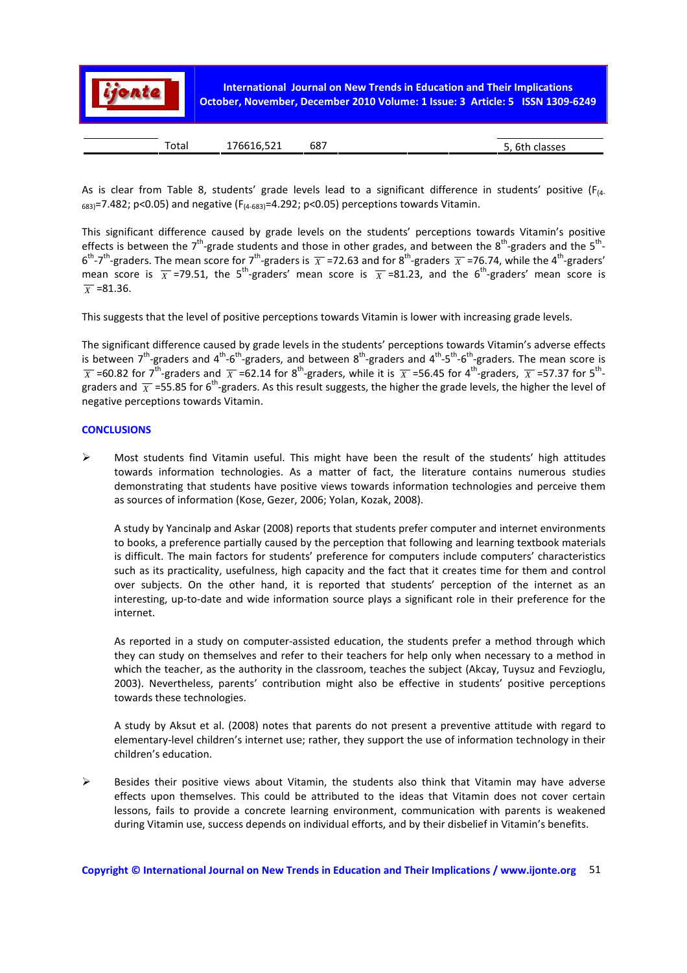

As is clear from Table 8, students' grade levels lead to a significant difference in students' positive ( $F_{(4)}$  $_{683)}$ =7.482; p<0.05) and negative (F<sub>(4-683)</sub>=4.292; p<0.05) perceptions towards Vitamin.

This significant difference caused by grade levels on the students' perceptions towards Vitamin's positive effects is between the 7<sup>th</sup>-grade students and those in other grades, and between the 8<sup>th</sup>-graders and the 5<sup>th</sup>- $6^{th}$ -7<sup>th</sup>-graders. The mean score for 7<sup>th</sup>-graders is  $\overline{X}$  =72.63 and for 8<sup>th</sup>-graders  $\overline{X}$  =76.74, while the 4<sup>th</sup>-graders' mean score is  $\overline{X}$  =79.51, the 5<sup>th</sup>-graders' mean score is  $\overline{X}$  =81.23, and the 6<sup>th</sup>-graders' mean score is  $\overline{x}$  =81.36.

This suggests that the level of positive perceptions towards Vitamin is lower with increasing grade levels.

The significant difference caused by grade levels in the students' perceptions towards Vitamin's adverse effects is between  $7^{th}$ -graders and  $4^{th}$ -6<sup>th</sup>-graders, and between  $8^{th}$ -graders and  $4^{th}$ -5<sup>th</sup>-6<sup>th</sup>-graders. The mean score is  $\overline{X}$  =60.82 for 7<sup>th</sup>-graders and  $\overline{X}$  =62.14 for 8<sup>th</sup>-graders, while it is  $\overline{X}$  =56.45 for 4<sup>th</sup>-graders,  $\overline{X}$  =57.37 for 5<sup>th</sup>graders and  $\overline{X}$  =55.85 for 6<sup>th</sup>-graders. As this result suggests, the higher the grade levels, the higher the level of negative perceptions towards Vitamin.

## **CONCLUSIONS**

 $\triangleright$  Most students find Vitamin useful. This might have been the result of the students' high attitudes towards information technologies. As a matter of fact, the literature contains numerous studies demonstrating that students have positive views towards information technologies and perceive them as sources of information (Kose, Gezer, 2006; Yolan, Kozak, 2008).

A study by Yancinalp and Askar (2008) reports that students prefer computer and internet environments to books, a preference partially caused by the perception that following and learning textbook materials is difficult. The main factors for students' preference for computers include computers' characteristics such as its practicality, usefulness, high capacity and the fact that it creates time for them and control over subjects. On the other hand, it is reported that students' perception of the internet as an interesting, up-to-date and wide information source plays a significant role in their preference for the internet.

As reported in a study on computer-assisted education, the students prefer a method through which they can study on themselves and refer to their teachers for help only when necessary to a method in which the teacher, as the authority in the classroom, teaches the subject (Akcay, Tuysuz and Fevzioglu, 2003). Nevertheless, parents' contribution might also be effective in students' positive perceptions towards these technologies.

A study by Aksut et al. (2008) notes that parents do not present a preventive attitude with regard to elementary-level children's internet use; rather, they support the use of information technology in their children's education.

 $\triangleright$  Besides their positive views about Vitamin, the students also think that Vitamin may have adverse effects upon themselves. This could be attributed to the ideas that Vitamin does not cover certain lessons, fails to provide a concrete learning environment, communication with parents is weakened during Vitamin use, success depends on individual efforts, and by their disbelief in Vitamin's benefits.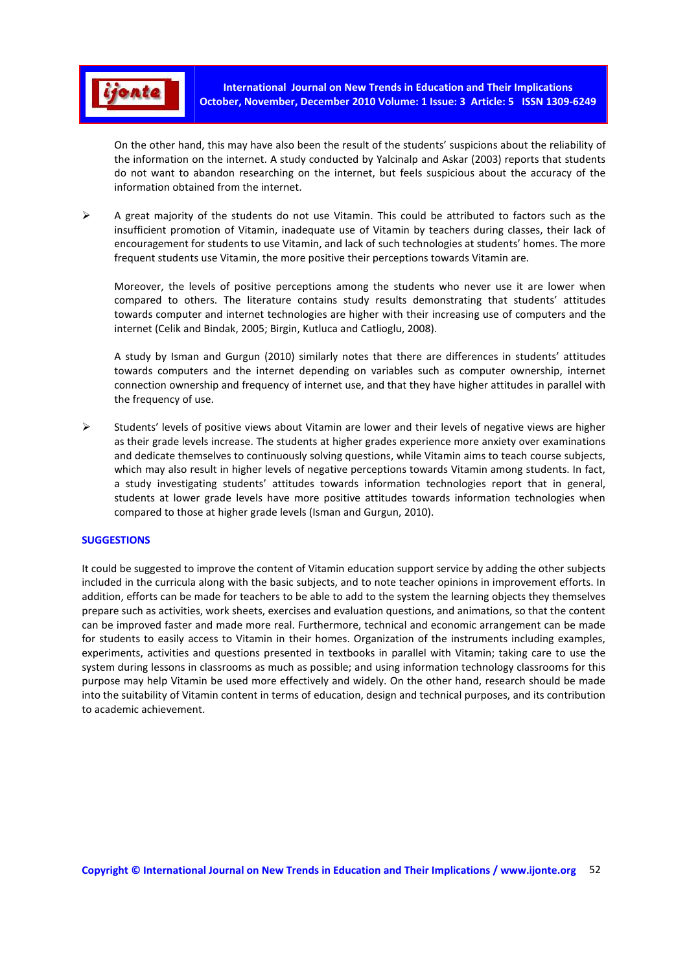

On the other hand, this may have also been the result of the students' suspicions about the reliability of the information on the internet. A study conducted by Yalcinalp and Askar (2003) reports that students do not want to abandon researching on the internet, but feels suspicious about the accuracy of the information obtained from the internet.

 $\triangleright$  A great majority of the students do not use Vitamin. This could be attributed to factors such as the insufficient promotion of Vitamin, inadequate use of Vitamin by teachers during classes, their lack of encouragement for students to use Vitamin, and lack of such technologies at students' homes. The more frequent students use Vitamin, the more positive their perceptions towards Vitamin are.

Moreover, the levels of positive perceptions among the students who never use it are lower when compared to others. The literature contains study results demonstrating that students' attitudes towards computer and internet technologies are higher with their increasing use of computers and the internet (Celik and Bindak, 2005; Birgin, Kutluca and Catlioglu, 2008).

A study by Isman and Gurgun (2010) similarly notes that there are differences in students' attitudes towards computers and the internet depending on variables such as computer ownership, internet connection ownership and frequency of internet use, and that they have higher attitudes in parallel with the frequency of use.

 $\triangleright$  Students' levels of positive views about Vitamin are lower and their levels of negative views are higher as their grade levels increase. The students at higher grades experience more anxiety over examinations and dedicate themselves to continuously solving questions, while Vitamin aims to teach course subjects, which may also result in higher levels of negative perceptions towards Vitamin among students. In fact, a study investigating students' attitudes towards information technologies report that in general, students at lower grade levels have more positive attitudes towards information technologies when compared to those at higher grade levels (Isman and Gurgun, 2010).

## **SUGGESTIONS**

It could be suggested to improve the content of Vitamin education support service by adding the other subjects included in the curricula along with the basic subjects, and to note teacher opinions in improvement efforts. In addition, efforts can be made for teachers to be able to add to the system the learning objects they themselves prepare such as activities, work sheets, exercises and evaluation questions, and animations, so that the content can be improved faster and made more real. Furthermore, technical and economic arrangement can be made for students to easily access to Vitamin in their homes. Organization of the instruments including examples, experiments, activities and questions presented in textbooks in parallel with Vitamin; taking care to use the system during lessons in classrooms as much as possible; and using information technology classrooms for this purpose may help Vitamin be used more effectively and widely. On the other hand, research should be made into the suitability of Vitamin content in terms of education, design and technical purposes, and its contribution to academic achievement.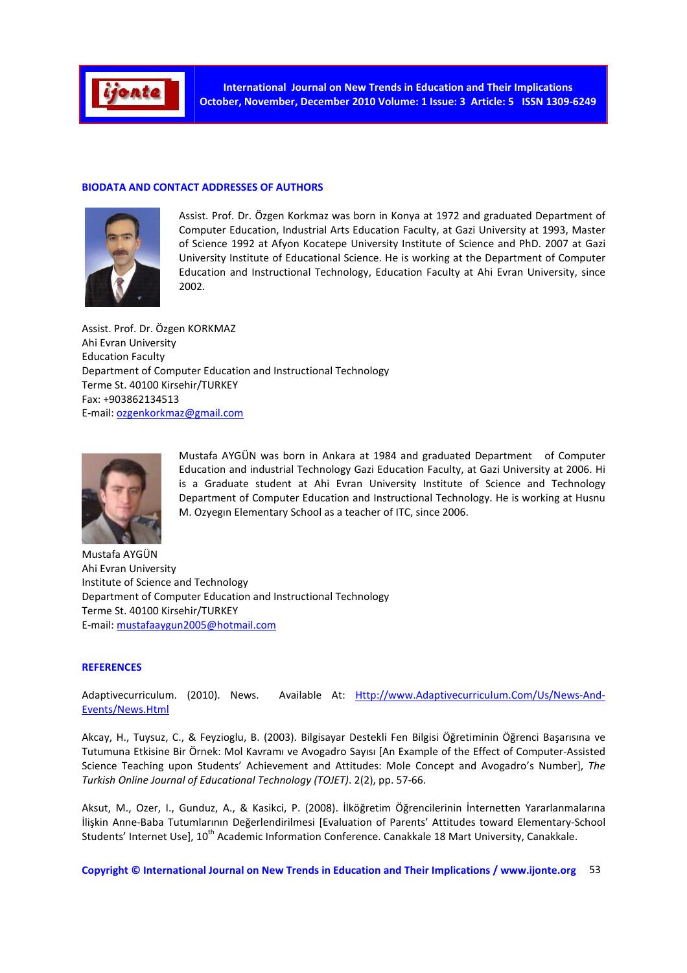

#### **BIODATA AND CONTACT ADDRESSES OF AUTHORS**



Assist. Prof. Dr. Özgen Korkmaz was born in Konya at 1972 and graduated Department of Computer Education, Industrial Arts Education Faculty, at Gazi University at 1993, Master of Science 1992 at Afyon Kocatepe University Institute of Science and PhD. 2007 at Gazi University Institute of Educational Science. He is working at the Department of Computer Education and Instructional Technology, Education Faculty at Ahi Evran University, since 2002.

Assist. Prof. Dr. Özgen KORKMAZ Ahi Evran University Education Faculty Department of Computer Education and Instructional Technology Terme St. 40100 Kirsehir/TURKEY Fax: +903862134513 E-mail: ozgenkorkmaz@gmail.com



Mustafa AYGÜN was born in Ankara at 1984 and graduated Department of Computer Education and industrial Technology Gazi Education Faculty, at Gazi University at 2006. Hi is a Graduate student at Ahi Evran University Institute of Science and Technology Department of Computer Education and Instructional Technology. He is working at Husnu M. Ozyegın Elementary School as a teacher of ITC, since 2006.

Mustafa AYGÜN Ahi Evran University Institute of Science and Technology Department of Computer Education and Instructional Technology Terme St. 40100 Kirsehir/TURKEY E-mail: mustafaaygun2005@hotmail.com

#### **REFERENCES**

Adaptivecurriculum. (2010). News. Available At: Http://www.Adaptivecurriculum.Com/Us/News-And-Events/News.Html

Akcay, H., Tuysuz, C., & Feyzioglu, B. (2003). Bilgisayar Destekli Fen Bilgisi Öğretiminin Öğrenci Başarısına ve Tutumuna Etkisine Bir Örnek: Mol Kavramı ve Avogadro Sayısı [An Example of the Effect of Computer-Assisted Science Teaching upon Students' Achievement and Attitudes: Mole Concept and Avogadro's Number], *The Turkish Online Journal of Educational Technology (TOJET)*. 2(2), pp. 57-66.

Aksut, M., Ozer, I., Gunduz, A., & Kasikci, P. (2008). İlköğretim Öğrencilerinin İnternetten Yararlanmalarına İlişkin Anne-Baba Tutumlarının Değerlendirilmesi [Evaluation of Parents' Attitudes toward Elementary-School Students' Internet Use], 10<sup>th</sup> Academic Information Conference. Canakkale 18 Mart University, Canakkale.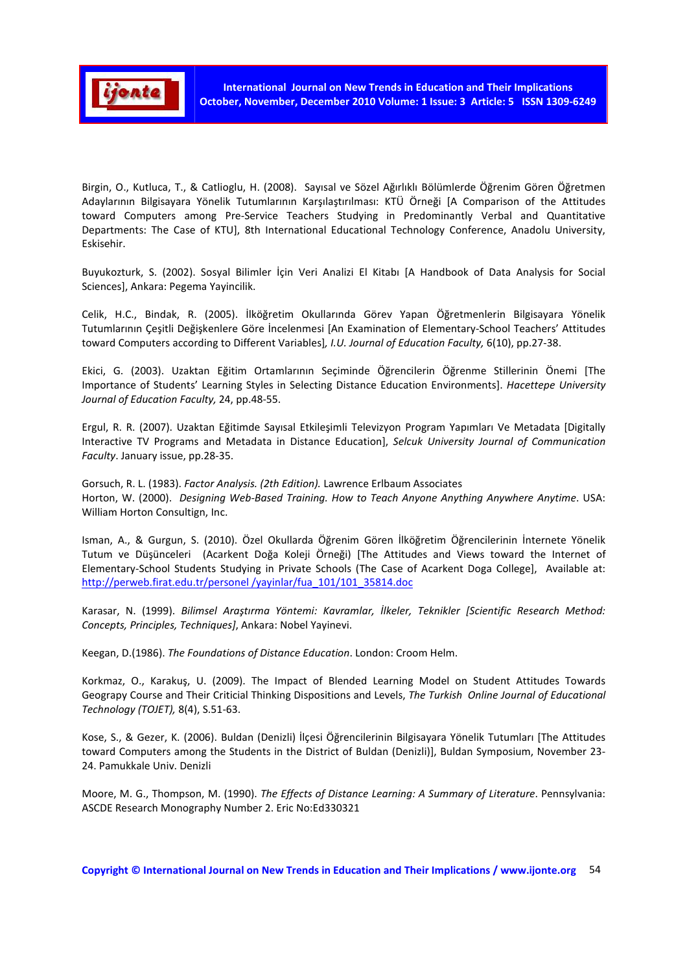

Birgin, O., Kutluca, T., & Catlioglu, H. (2008). Sayısal ve Sözel Ağırlıklı Bölümlerde Öğrenim Gören Öğretmen Adaylarının Bilgisayara Yönelik Tutumlarının Karşılaştırılması: KTÜ Örneği [A Comparison of the Attitudes toward Computers among Pre-Service Teachers Studying in Predominantly Verbal and Quantitative Departments: The Case of KTU], 8th International Educational Technology Conference, Anadolu University, Eskisehir.

Buyukozturk, S. (2002). Sosyal Bilimler İçin Veri Analizi El Kitabı [A Handbook of Data Analysis for Social Sciences], Ankara: Pegema Yayincilik.

Celik, H.C., Bindak, R. (2005). İlköğretim Okullarında Görev Yapan Öğretmenlerin Bilgisayara Yönelik Tutumlarının Çeşitli Değişkenlere Göre İncelenmesi [An Examination of Elementary-School Teachers' Attitudes toward Computers according to Different Variables]*, I.U. Journal of Education Faculty,* 6(10), pp.27-38.

Ekici, G. (2003). Uzaktan Eğitim Ortamlarının Seçiminde Öğrencilerin Öğrenme Stillerinin Önemi [The Importance of Students' Learning Styles in Selecting Distance Education Environments]. *Hacettepe University Journal of Education Faculty,* 24, pp.48-55.

Ergul, R. R. (2007). Uzaktan Eğitimde Sayısal Etkileşimli Televizyon Program Yapımları Ve Metadata [Digitally Interactive TV Programs and Metadata in Distance Education], *Selcuk University Journal of Communication Faculty*. January issue, pp.28-35.

Gorsuch, R. L. (1983). *Factor Analysis. (2th Edition).* Lawrence Erlbaum Associates Horton, W. (2000). *Designing Web-Based Training. How to Teach Anyone Anything Anywhere Anytime*. USA: William Horton Consultign, Inc.

Isman, A., & Gurgun, S. (2010). Özel Okullarda Öğrenim Gören İlköğretim Öğrencilerinin İnternete Yönelik Tutum ve Düşünceleri (Acarkent Doğa Koleji Örneği) [The Attitudes and Views toward the Internet of Elementary-School Students Studying in Private Schools (The Case of Acarkent Doga College], Available at: http://perweb.firat.edu.tr/personel /yayinlar/fua\_101/101\_35814.doc

Karasar, N. (1999). *Bilimsel Araştırma Yöntemi: Kavramlar, İlkeler, Teknikler [Scientific Research Method: Concepts, Principles, Techniques]*, Ankara: Nobel Yayinevi.

Keegan, D.(1986). *The Foundations of Distance Education*. London: Croom Helm.

Korkmaz, O., Karakuş, U. (2009). The Impact of Blended Learning Model on Student Attitudes Towards Geograpy Course and Their Criticial Thinking Dispositions and Levels, *The Turkish Online Journal of Educational Technology (TOJET),* 8(4), S.51-63.

Kose, S., & Gezer, K. (2006). Buldan (Denizli) İlçesi Öğrencilerinin Bilgisayara Yönelik Tutumları [The Attitudes toward Computers among the Students in the District of Buldan (Denizli)], Buldan Symposium, November 23- 24. Pamukkale Univ. Denizli

Moore, M. G., Thompson, M. (1990). *The Effects of Distance Learning: A Summary of Literature*. Pennsylvania: ASCDE Research Monography Number 2. Eric No:Ed330321